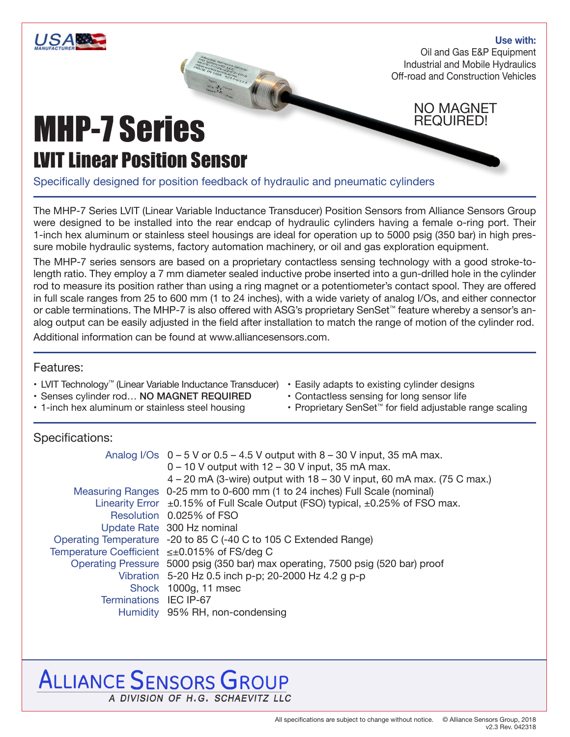

#### **Use with:**

Oil and Gas E&P Equipment Industrial and Mobile Hydraulics Off-road and Construction Vehicles

#### NO MAGNET REQUIRED!

## MHP-7 Series LVIT Linear Position Sensor

Specifically designed for position feedback of hydraulic and pneumatic cylinders

**CALIFORNIA DE LA CALIFORNIA DE LA CALIFORNIA DE LA CALIFORNIA DE LA CALIFORNIA DE LA CALIFORNIA DE LA CALIFORNIA** 

The MHP-7 Series LVIT (Linear Variable Inductance Transducer) Position Sensors from Alliance Sensors Group were designed to be installed into the rear endcap of hydraulic cylinders having a female o-ring port. Their 1-inch hex aluminum or stainless steel housings are ideal for operation up to 5000 psig (350 bar) in high pressure mobile hydraulic systems, factory automation machinery, or oil and gas exploration equipment.

The MHP-7 series sensors are based on a proprietary contactless sensing technology with a good stroke-tolength ratio. They employ a 7 mm diameter sealed inductive probe inserted into a gun-drilled hole in the cylinder rod to measure its position rather than using a ring magnet or a potentiometer's contact spool. They are offered in full scale ranges from 25 to 600 mm (1 to 24 inches), with a wide variety of analog I/Os, and either connector or cable terminations. The MHP-7 is also offered with ASG's proprietary SenSet™ feature whereby a sensor's analog output can be easily adjusted in the field after installation to match the range of motion of the cylinder rod. Additional information can be found at www.alliancesensors.com.

#### Features:

- LVIT Technology™ (Linear Variable Inductance Transducer)
- Senses cylinder rod… NO MAGNET REQUIRED
- 1-inch hex aluminum or stainless steel housing
- Easily adapts to existing cylinder designs
- Contactless sensing for long sensor life
- Proprietary SenSet™ for field adjustable range scaling

#### Specifications:

|                                              | Analog I/Os $0 - 5$ V or $0.5 - 4.5$ V output with $8 - 30$ V input, 35 mA max.         |
|----------------------------------------------|-----------------------------------------------------------------------------------------|
|                                              | $0 - 10$ V output with $12 - 30$ V input, 35 mA max.                                    |
|                                              | $4 - 20$ mA (3-wire) output with $18 - 30$ V input, 60 mA max. (75 C max.)              |
|                                              | Measuring Ranges 0-25 mm to 0-600 mm (1 to 24 inches) Full Scale (nominal)              |
|                                              | Linearity Error $\pm$ 0.15% of Full Scale Output (FSO) typical, $\pm$ 0.25% of FSO max. |
|                                              | Resolution 0.025% of FSO                                                                |
|                                              | Update Rate 300 Hz nominal                                                              |
|                                              | Operating Temperature -20 to 85 C (-40 C to 105 C Extended Range)                       |
| Temperature Coefficient ≤±0.015% of FS/deg C |                                                                                         |
|                                              | Operating Pressure 5000 psig (350 bar) max operating, 7500 psig (520 bar) proof         |
|                                              | Vibration 5-20 Hz 0.5 inch p-p; 20-2000 Hz 4.2 g p-p                                    |
|                                              | Shock 1000g, 11 msec                                                                    |
| Terminations IEC IP-67                       |                                                                                         |
|                                              | Humidity 95% RH, non-condensing                                                         |

### **ALLIANCE SENSORS GROUP** A DIVISION OF H.G. SCHAEVITZ LLC